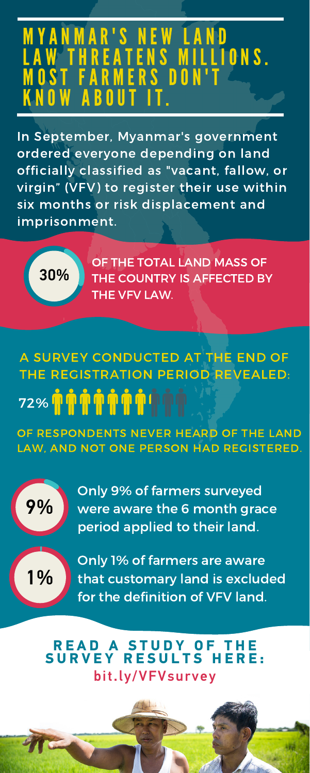## M Y A N M A R ' S M E W L A REATENS MILLIONS. A R M E R S D O **NOW ABO**

In September, Myanmar's government ordered everyone depending on land officially classified as "vacant, fallow, or virgin" (VFV) to register their use within six months or risk displacement and imprisonment.

## bit.ly/VFVsurvey **READ A STUDY OF**<br>SURVEY RESULTS H **RESULTS HERE:**



A SURVEY CONDUCTED AT THE END OF THE REGISTRATION PERIOD REVEALED:  $\tilde{\bm{\eta}}$   $\tilde{\bm{\eta}}$   $\tilde{\bm{\eta}}$   $\tilde{\bm{\eta}}$   $\tilde{\bm{\eta}}$  in 72%

OF RESPONDENTS NEVER HEARD OF T LAW, AND NOT ONE PERSON HAD REGISTERED.

OF THE TOTAL LAND MASS OF THE COUNTRY IS AFFECTED BY THE VFV LAW.

30%

Only 9% of farmers surveyed were aware the 6 month grace period applied to their land.





Only 1% of farmers are aware that customary land is excluded for the definition of VFV land.